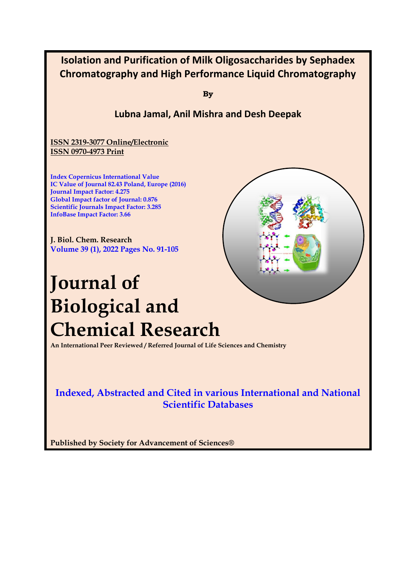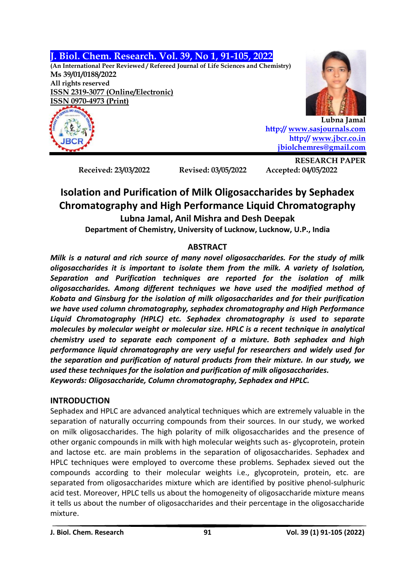**J. Biol. Chem. Research. Vol. 39, No 1, 91-105, 2022**

**(An International Peer Reviewed / Refereed Journal of Life Sciences and Chemistry) Ms 39/01/0188/2022 All rights reserved ISSN 2319-3077 (Online/Electronic) ISSN 0970-4973 (Print)**





**Lubna Jamal http:/[/ www.sasjournals.com](http://www.sasjournals.com/) http:/[/ www.jbcr.co.in](http://www.jbcr.co.in/) [jbiolchemres@gmail.com](mailto:jbiolchemres@gmail.com)**

**Received: 23/03/2022 Revised: 03/05/2022 Accepted: 04/05/2022**

**RESEARCH PAPER**

# **Isolation and Purification of Milk Oligosaccharides by Sephadex Chromatography and High Performance Liquid Chromatography Lubna Jamal, Anil Mishra and Desh Deepak**

**Department of Chemistry, University of Lucknow, Lucknow, U.P., India**

# **ABSTRACT**

*Milk is a natural and rich source of many novel oligosaccharides. For the study of milk oligosaccharides it is important to isolate them from the milk. A variety of Isolation, Separation and Purification techniques are reported for the isolation of milk oligosaccharides. Among different techniques we have used the modified method of Kobata and Ginsburg for the isolation of milk oligosaccharides and for their purification we have used column chromatography, sephadex chromatography and High Performance Liquid Chromatography (HPLC) etc. Sephadex chromatography is used to separate molecules by molecular weight or molecular size. HPLC is a recent technique in analytical chemistry used to separate each component of a mixture. Both sephadex and high performance liquid chromatography are very useful for researchers and widely used for the separation and purification of natural products from their mixture. In our study, we used these techniques for the isolation and purification of milk oligosaccharides. Keywords: Oligosaccharide, Column chromatography, Sephadex and HPLC.*

# **INTRODUCTION**

Sephadex and HPLC are advanced analytical techniques which are extremely valuable in the separation of naturally occurring compounds from their sources. In our study, we worked on milk oligosaccharides. The high polarity of milk oligosaccharides and the presence of other organic compounds in milk with high molecular weights such as- glycoprotein, protein and lactose etc. are main problems in the separation of oligosaccharides. Sephadex and HPLC techniques were employed to overcome these problems. Sephadex sieved out the compounds according to their molecular weights i.e., glycoprotein, protein, etc. are separated from oligosaccharides mixture which are identified by positive phenol-sulphuric acid test. Moreover, HPLC tells us about the homogeneity of oligosaccharide mixture means it tells us about the number of oligosaccharides and their percentage in the oligosaccharide mixture.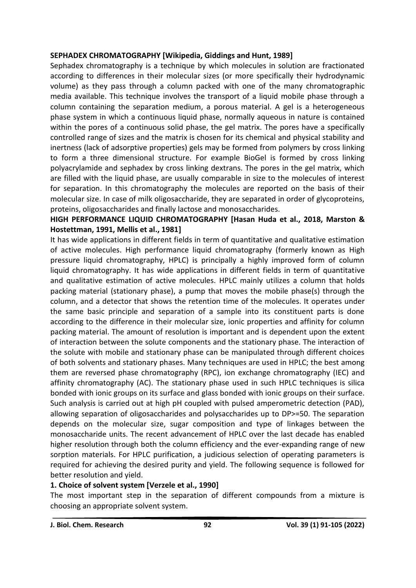#### **SEPHADEX CHROMATOGRAPHY [Wikipedia, Giddings and Hunt, 1989]**

Sephadex chromatography is a technique by which molecules in solution are fractionated according to differences in their molecular sizes (or more specifically their hydrodynamic volume) as they pass through a column packed with one of the many chromatographic media available. This technique involves the transport of a liquid mobile phase through a column containing the separation medium, a porous material. A gel is a heterogeneous phase system in which a continuous liquid phase, normally aqueous in nature is contained within the pores of a continuous solid phase, the gel matrix. The pores have a specifically controlled range of sizes and the matrix is chosen for its chemical and physical stability and inertness (lack of adsorptive properties) gels may be formed from polymers by cross linking to form a three dimensional structure. For example BioGel is formed by cross linking polyacrylamide and sephadex by cross linking dextrans. The pores in the gel matrix, which are filled with the liquid phase, are usually comparable in size to the molecules of interest for separation. In this chromatography the molecules are reported on the basis of their molecular size. In case of milk oligosaccharide, they are separated in order of glycoproteins, proteins, oligosaccharides and finally lactose and monosaccharides.

### **HIGH PERFORMANCE LIQUID CHROMATOGRAPHY [Hasan Huda et al., 2018, Marston & Hostettman, 1991, Mellis et al., 1981]**

It has wide applications in different fields in term of quantitative and qualitative estimation of active molecules. High performance liquid chromatography (formerly known as High pressure liquid chromatography, HPLC) is principally a highly improved form of column liquid chromatography. It has wide applications in different fields in term of quantitative and qualitative estimation of active molecules. HPLC mainly utilizes a column that holds packing material (stationary phase), a pump that moves the mobile phase(s) through the column, and a detector that shows the retention time of the molecules. It operates under the same basic principle and separation of a sample into its constituent parts is done according to the difference in their molecular size, ionic properties and affinity for column packing material. The amount of resolution is important and is dependent upon the extent of interaction between the solute components and the stationary phase. The interaction of the solute with mobile and stationary phase can be manipulated through different choices of both solvents and stationary phases. Many techniques are used in HPLC; the best among them are reversed phase chromatography (RPC), ion exchange chromatography (IEC) and affinity chromatography (AC). The stationary phase used in such HPLC techniques is silica bonded with ionic groups on its surface and glass bonded with ionic groups on their surface. Such analysis is carried out at high pH coupled with pulsed amperometric detection (PAD), allowing separation of oligosaccharides and polysaccharides up to DP>=50. The separation depends on the molecular size, sugar composition and type of linkages between the monosaccharide units. The recent advancement of HPLC over the last decade has enabled higher resolution through both the column efficiency and the ever-expanding range of new sorption materials. For HPLC purification, a judicious selection of operating parameters is required for achieving the desired purity and yield. The following sequence is followed for better resolution and yield.

#### **1. Choice of solvent system [Verzele et al., 1990]**

The most important step in the separation of different compounds from a mixture is choosing an appropriate solvent system.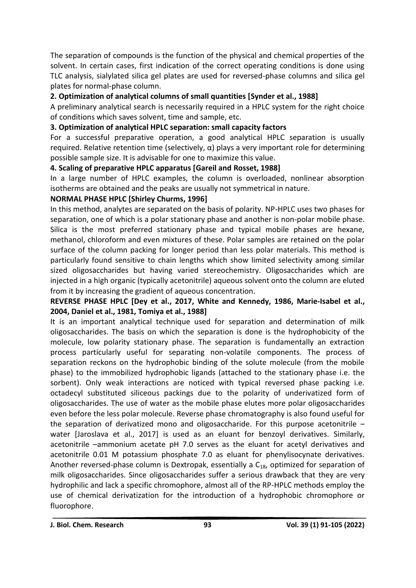The separation of compounds is the function of the physical and chemical properties of the solvent. In certain cases, first indication of the correct operating conditions is done using TLC analysis, sialylated silica gel plates are used for reversed-phase columns and silica gel plates for normal-phase column.

### **2. Optimization of analytical columns of small quantities [Synder et al., 1988]**

A preliminary analytical search is necessarily required in a HPLC system for the right choice of conditions which saves solvent, time and sample, etc.

### **3. Optimization of analytical HPLC separation: small capacity factors**

For a successful preparative operation, a good analytical HPLC separation is usually required. Relative retention time (selectively, α) plays a very important role for determining possible sample size. It is advisable for one to maximize this value.

#### **4. Scaling of preparative HPLC apparatus [Gareil and Rosset, 1988]**

In a large number of HPLC examples, the column is overloaded, nonlinear absorption isotherms are obtained and the peaks are usually not symmetrical in nature.

### **NORMAL PHASE HPLC [Shirley Churms, 1996]**

In this method, analytes are separated on the basis of polarity. NP-HPLC uses two phases for separation, one of which is a polar stationary phase and another is non-polar mobile phase. Silica is the most preferred stationary phase and typical mobile phases are hexane, methanol, chloroform and even mixtures of these. Polar samples are retained on the polar surface of the column packing for longer period than less polar materials. This method is particularly found sensitive to chain lengths which show limited selectivity among similar sized oligosaccharides but having varied stereochemistry. Oligosaccharides which are injected in a high organic (typically acetonitrile) aqueous solvent onto the column are eluted from it by increasing the gradient of aqueous concentration.

### **REVERSE PHASE HPLC [Dey et al., 2017, White and Kennedy, 1986, Marie-Isabel et al., 2004, Daniel et al., 1981, Tomiya et al., 1988]**

It is an important analytical technique used for separation and determination of milk oligosaccharides. The basis on which the separation is done is the hydrophobicity of the molecule, low polarity stationary phase. The separation is fundamentally an extraction process particularly useful for separating non-volatile components. The process of separation reckons on the hydrophobic binding of the solute molecule (from the mobile phase) to the immobilized hydrophobic ligands (attached to the stationary phase i.e. the sorbent). Only weak interactions are noticed with typical reversed phase packing i.e. octadecyl substituted siliceous packings due to the polarity of underivatized form of oligosaccharides. The use of water as the mobile phase elutes more polar oligosaccharides even before the less polar molecule. Reverse phase chromatography is also found useful for the separation of derivatized mono and oligosaccharide. For this purpose acetonitrile  $$ water [Jaroslava et al., 2017] is used as an eluant for benzoyl derivatives. Similarly, acetonitrile –ammonium acetate pH 7.0 serves as the eluant for acetyl derivatives and acetonitrile 0.01 M potassium phosphate 7.0 as eluant for phenylisocynate derivatives. Another reversed-phase column is Dextropak, essentially a  $C_{18}$ , optimized for separation of milk oligosaccharides. Since oligosaccharides suffer a serious drawback that they are very hydrophilic and lack a specific chromophore, almost all of the RP-HPLC methods employ the use of chemical derivatization for the introduction of a hydrophobic chromophore or fluorophore.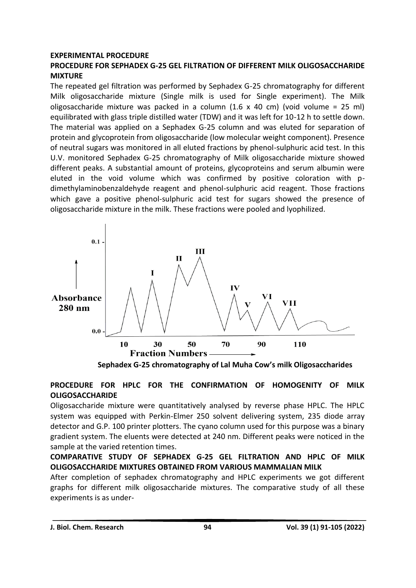#### **EXPERIMENTAL PROCEDURE**

### **PROCEDURE FOR SEPHADEX G-25 GEL FILTRATION OF DIFFERENT MILK OLIGOSACCHARIDE MIXTURE**

The repeated gel filtration was performed by Sephadex G-25 chromatography for different Milk oligosaccharide mixture (Single milk is used for Single experiment). The Milk oligosaccharide mixture was packed in a column (1.6 x 40 cm) (void volume = 25 ml) equilibrated with glass triple distilled water (TDW) and it was left for 10-12 h to settle down. The material was applied on a Sephadex G-25 column and was eluted for separation of protein and glycoprotein from oligosaccharide (low molecular weight component). Presence of neutral sugars was monitored in all eluted fractions by phenol-sulphuric acid test. In this U.V. monitored Sephadex G-25 chromatography of Milk oligosaccharide mixture showed different peaks. A substantial amount of proteins, glycoproteins and serum albumin were eluted in the void volume which was confirmed by positive coloration with pdimethylaminobenzaldehyde reagent and phenol-sulphuric acid reagent. Those fractions which gave a positive phenol-sulphuric acid test for sugars showed the presence of oligosaccharide mixture in the milk. These fractions were pooled and lyophilized.



 **Sephadex G-25 chromatography of Lal Muha Cow's milk Oligosaccharides**

### **PROCEDURE FOR HPLC FOR THE CONFIRMATION OF HOMOGENITY OF MILK OLIGOSACCHARIDE**

Oligosaccharide mixture were quantitatively analysed by reverse phase HPLC. The HPLC system was equipped with Perkin-Elmer 250 solvent delivering system, 235 diode array detector and G.P. 100 printer plotters. The cyano column used for this purpose was a binary gradient system. The eluents were detected at 240 nm. Different peaks were noticed in the sample at the varied retention times.

#### **COMPARATIVE STUDY OF SEPHADEX G-25 GEL FILTRATION AND HPLC OF MILK OLIGOSACCHARIDE MIXTURES OBTAINED FROM VARIOUS MAMMALIAN MILK**

After completion of sephadex chromatography and HPLC experiments we got different graphs for different milk oligosaccharide mixtures. The comparative study of all these experiments is as under-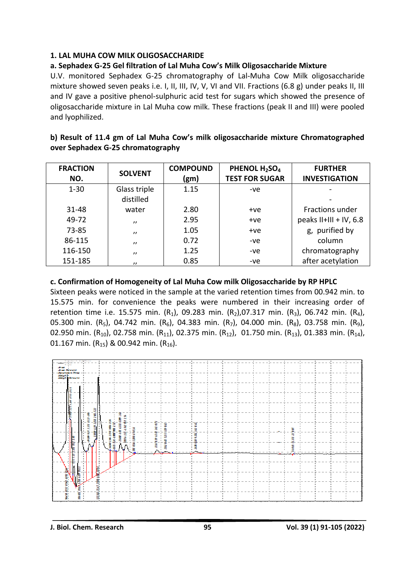### **1. LAL MUHA COW MILK OLIGOSACCHARIDE**

### **a. Sephadex G-25 Gel filtration of Lal Muha Cow's Milk Oligosaccharide Mixture**

U.V. monitored Sephadex G-25 chromatography of Lal-Muha Cow Milk oligosaccharide mixture showed seven peaks i.e. I, II, III, IV, V, VI and VII. Fractions (6.8 g) under peaks II, III and IV gave a positive phenol-sulphuric acid test for sugars which showed the presence of oligosaccharide mixture in Lal Muha cow milk. These fractions (peak II and III) were pooled and lyophilized.

| b) Result of 11.4 gm of Lal Muha Cow's milk oligosaccharide mixture Chromatographed |  |
|-------------------------------------------------------------------------------------|--|
| over Sephadex G-25 chromatography                                                   |  |

| <b>FRACTION</b><br>NO. | <b>SOLVENT</b>            | <b>COMPOUND</b><br>(gm) | PHENOL H <sub>2</sub> SO <sub>4</sub><br><b>TEST FOR SUGAR</b> | <b>FURTHER</b><br><b>INVESTIGATION</b> |
|------------------------|---------------------------|-------------------------|----------------------------------------------------------------|----------------------------------------|
| $1 - 30$               | Glass triple<br>distilled | 1.15                    | $-ve$                                                          |                                        |
| 31-48                  | water                     | 2.80                    | $+ve$                                                          | <b>Fractions under</b>                 |
| 49-72                  | $^{\prime}$               | 2.95                    | $+ve$                                                          | peaks $II+III + IV$ , 6.8              |
| $73 - 85$              | $^{\prime}$               | 1.05                    | $+ve$                                                          | g, purified by                         |
| 86-115                 | $^{\prime}$               | 0.72                    | -ve                                                            | column                                 |
| 116-150                | $^{\prime}$               | 1.25                    | -ve                                                            | chromatography                         |
| 151-185                | $^{\prime}$               | 0.85                    | -ve                                                            | after acetylation                      |

### **c. Confirmation of Homogeneity of Lal Muha Cow milk Oligosaccharide by RP HPLC**

Sixteen peaks were noticed in the sample at the varied retention times from 00.942 min. to 15.575 min. for convenience the peaks were numbered in their increasing order of retention time i.e. 15.575 min. (R<sub>1</sub>), 09.283 min. (R<sub>2</sub>),07.317 min. (R<sub>3</sub>), 06.742 min. (R<sub>4</sub>), 05.300 min. (R<sub>5</sub>), 04.742 min. (R<sub>6</sub>), 04.383 min. (R<sub>7</sub>), 04.000 min. (R<sub>8</sub>), 03.758 min. (R<sub>9</sub>), 02.950 min. (R<sub>10</sub>), 02.758 min. (R<sub>11</sub>), 02.375 min. (R<sub>12</sub>), 01.750 min. (R<sub>13</sub>), 01.383 min. (R<sub>14</sub>), 01.167 min.  $(R_{15})$  & 00.942 min.  $(R_{16})$ .

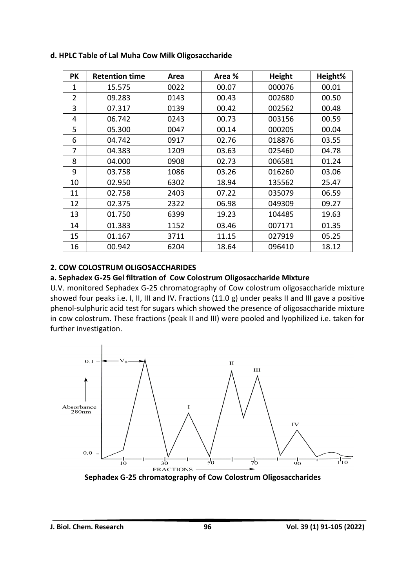| PК | <b>Retention time</b> | Area | Area % | <b>Height</b> | Height% |
|----|-----------------------|------|--------|---------------|---------|
| 1  | 15.575                | 0022 | 00.07  | 000076        | 00.01   |
| 2  | 09.283                | 0143 | 00.43  | 002680        | 00.50   |
| 3  | 07.317                | 0139 | 00.42  | 002562        | 00.48   |
| 4  | 06.742                | 0243 | 00.73  | 003156        | 00.59   |
| 5  | 05.300                | 0047 | 00.14  | 000205        | 00.04   |
| 6  | 04.742                | 0917 | 02.76  | 018876        | 03.55   |
| 7  | 04.383                | 1209 | 03.63  | 025460        | 04.78   |
| 8  | 04.000                | 0908 | 02.73  | 006581        | 01.24   |
| 9  | 03.758                | 1086 | 03.26  | 016260        | 03.06   |
| 10 | 02.950                | 6302 | 18.94  | 135562        | 25.47   |
| 11 | 02.758                | 2403 | 07.22  | 035079        | 06.59   |
| 12 | 02.375                | 2322 | 06.98  | 049309        | 09.27   |
| 13 | 01.750                | 6399 | 19.23  | 104485        | 19.63   |
| 14 | 01.383                | 1152 | 03.46  | 007171        | 01.35   |
| 15 | 01.167                | 3711 | 11.15  | 027919        | 05.25   |
| 16 | 00.942                | 6204 | 18.64  | 096410        | 18.12   |

**d. HPLC Table of Lal Muha Cow Milk Oligosaccharide** 

#### **2. COW COLOSTRUM OLIGOSACCHARIDES**

#### **a. Sephadex G-25 Gel filtration of Cow Colostrum Oligosaccharide Mixture**

U.V. monitored Sephadex G-25 chromatography of Cow colostrum oligosaccharide mixture showed four peaks i.e. I, II, III and IV. Fractions (11.0 g) under peaks II and III gave a positive phenol-sulphuric acid test for sugars which showed the presence of oligosaccharide mixture in cow colostrum. These fractions (peak II and III) were pooled and lyophilized i.e. taken for further investigation.



 **Sephadex G-25 chromatography of Cow Colostrum Oligosaccharides**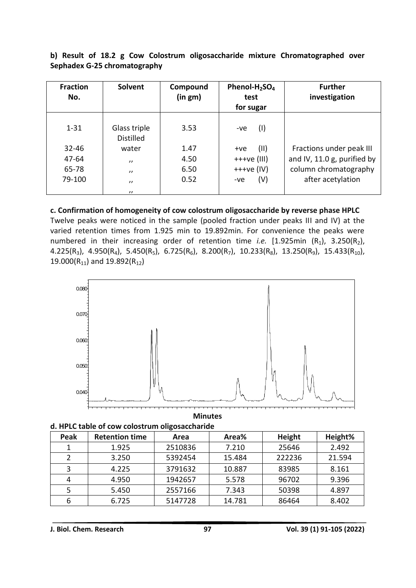**b) Result of 18.2 g Cow Colostrum oligosaccharide mixture Chromatographed over Sephadex G-25 chromatography**

| <b>Fraction</b><br>No. | Solvent                          | Compound<br>(in gm) | Phenol- $H_2$ SO <sub>4</sub><br>test<br>for sugar | <b>Further</b><br>investigation |
|------------------------|----------------------------------|---------------------|----------------------------------------------------|---------------------------------|
| $1 - 31$               | Glass triple<br><b>Distilled</b> | 3.53                | (1)<br>$-ve$                                       |                                 |
| $32 - 46$              | water                            | 1.47                | (11)<br>$+ve$                                      | Fractions under peak III        |
| $47 - 64$              | $^{\prime}$                      | 4.50                | $+++ve (III)$                                      | and IV, 11.0 g, purified by     |
| 65-78                  | $^{\prime}$                      | 6.50                | $+++ve (IV)$                                       | column chromatography           |
| 79-100                 | $^{\prime}$<br>$^{\prime\prime}$ | 0.52                | (V)<br>$-ve$                                       | after acetylation               |

**c. Confirmation of homogeneity of cow colostrum oligosaccharide by reverse phase HPLC** Twelve peaks were noticed in the sample (pooled fraction under peaks III and IV) at the varied retention times from 1.925 min to 19.892min. For convenience the peaks were numbered in their increasing order of retention time *i.e.* [1.925min (R<sub>1</sub>), 3.250(R<sub>2</sub>), 4.225(R<sub>3</sub>), 4.950(R<sub>4</sub>), 5.450(R<sub>5</sub>), 6.725(R<sub>6</sub>), 8.200(R<sub>7</sub>), 10.233(R<sub>8</sub>), 13.250(R<sub>9</sub>), 15.433(R<sub>10</sub>), 19.000( $R_{11}$ ) and 19.892( $R_{12}$ )



**Minutes**

|  |  |  |  |  | d. HPLC table of cow colostrum oligosaccharide |
|--|--|--|--|--|------------------------------------------------|
|--|--|--|--|--|------------------------------------------------|

| Peak | <b>Retention time</b> | Area    | Area%  | Height | Height% |
|------|-----------------------|---------|--------|--------|---------|
|      | 1.925                 | 2510836 | 7.210  | 25646  | 2.492   |
|      | 3.250                 | 5392454 | 15.484 | 222236 | 21.594  |
|      | 4.225                 | 3791632 | 10.887 | 83985  | 8.161   |
| 4    | 4.950                 | 1942657 | 5.578  | 96702  | 9.396   |
| 5    | 5.450                 | 2557166 | 7.343  | 50398  | 4.897   |
| 6    | 6.725                 | 5147728 | 14.781 | 86464  | 8.402   |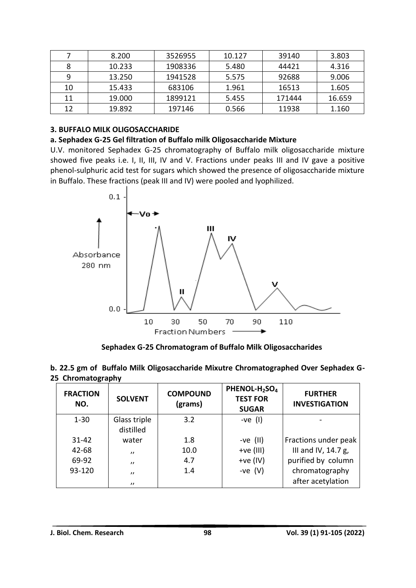|    | 8.200  | 3526955 | 10.127 | 39140  | 3.803  |
|----|--------|---------|--------|--------|--------|
| 8  | 10.233 | 1908336 | 5.480  | 44421  | 4.316  |
| 9  | 13.250 | 1941528 | 5.575  | 92688  | 9.006  |
| 10 | 15.433 | 683106  | 1.961  | 16513  | 1.605  |
| 11 | 19.000 | 1899121 | 5.455  | 171444 | 16.659 |
| 12 | 19.892 | 197146  | 0.566  | 11938  | 1.160  |

#### **3. BUFFALO MILK OLIGOSACCHARIDE**

#### **a. Sephadex G-25 Gel filtration of Buffalo milk Oligosaccharide Mixture**

U.V. monitored Sephadex G-25 chromatography of Buffalo milk oligosaccharide mixture showed five peaks i.e. I, II, III, IV and V. Fractions under peaks III and IV gave a positive phenol-sulphuric acid test for sugars which showed the presence of oligosaccharide mixture in Buffalo. These fractions (peak III and IV) were pooled and lyophilized.



 **Sephadex G-25 Chromatogram of Buffalo Milk Oligosaccharides**

|                   | b. 22.5 gm of Buffalo Milk Oligosaccharide Mixutre Chromatographed Over Sephadex G- |  |  |
|-------------------|-------------------------------------------------------------------------------------|--|--|
| 25 Chromatography |                                                                                     |  |  |

| <b>FRACTION</b><br>NO. | <b>SOLVENT</b>            | <b>COMPOUND</b><br>(grams) | PHENOL-H <sub>2</sub> SO <sub>4</sub><br><b>TEST FOR</b><br><b>SUGAR</b> | <b>FURTHER</b><br><b>INVESTIGATION</b> |
|------------------------|---------------------------|----------------------------|--------------------------------------------------------------------------|----------------------------------------|
| $1 - 30$               | Glass triple<br>distilled | 3.2                        | $-ve(1)$                                                                 |                                        |
| $31 - 42$              | water                     | 1.8                        | $-ve$ (II)                                                               | Fractions under peak                   |
| $42 - 68$              | $^{\prime}$               | 10.0                       | $+ve (III)$                                                              | III and IV, 14.7 g,                    |
| 69-92                  | $^{\prime}$               | 4.7                        | $+ve (IV)$                                                               | purified by column                     |
| 93-120                 | $^{\prime}$               | 1.4                        | -ve $(V)$                                                                | chromatography                         |
|                        | $^{\prime}$               |                            |                                                                          | after acetylation                      |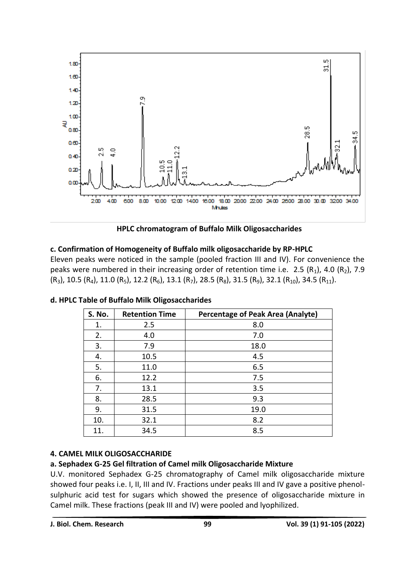

 **HPLC chromatogram of Buffalo Milk Oligosaccharides** 

### **c. Confirmation of Homogeneity of Buffalo milk oligosaccharide by RP-HPLC**

Eleven peaks were noticed in the sample (pooled fraction III and IV). For convenience the peaks were numbered in their increasing order of retention time i.e. 2.5 ( $R_1$ ), 4.0 ( $R_2$ ), 7.9  $(R_3)$ , 10.5  $(R_4)$ , 11.0  $(R_5)$ , 12.2  $(R_6)$ , 13.1  $(R_7)$ , 28.5  $(R_8)$ , 31.5  $(R_9)$ , 32.1  $(R_{10})$ , 34.5  $(R_{11})$ .

| S. No. | <b>Retention Time</b> | <b>Percentage of Peak Area (Analyte)</b> |
|--------|-----------------------|------------------------------------------|
| 1.     | 2.5                   | 8.0                                      |
| 2.     | 4.0                   | 7.0                                      |
| 3.     | 7.9                   | 18.0                                     |
| 4.     | 10.5                  | 4.5                                      |
| 5.     | 11.0                  | 6.5                                      |
| 6.     | 12.2                  | 7.5                                      |
| 7.     | 13.1                  | 3.5                                      |
| 8.     | 28.5                  | 9.3                                      |
| 9.     | 31.5                  | 19.0                                     |
| 10.    | 32.1                  | 8.2                                      |
| 11.    | 34.5                  | 8.5                                      |

**d. HPLC Table of Buffalo Milk Oligosaccharides**

### **4. CAMEL MILK OLIGOSACCHARIDE**

### **a. Sephadex G-25 Gel filtration of Camel milk Oligosaccharide Mixture**

U.V. monitored Sephadex G-25 chromatography of Camel milk oligosaccharide mixture showed four peaks i.e. I, II, III and IV. Fractions under peaks III and IV gave a positive phenolsulphuric acid test for sugars which showed the presence of oligosaccharide mixture in Camel milk. These fractions (peak III and IV) were pooled and lyophilized.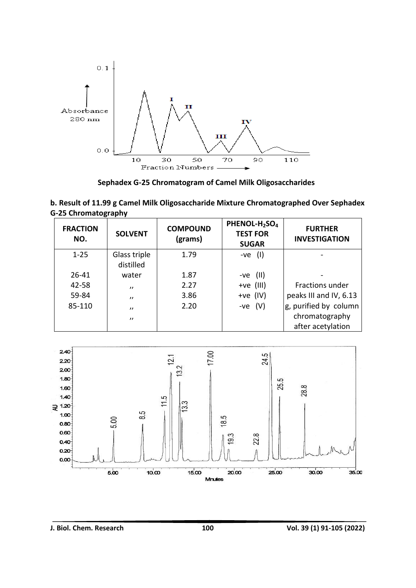

 **Sephadex G-25 Chromatogram of Camel Milk Oligosaccharides**

**b. Result of 11.99 g Camel Milk Oligosaccharide Mixture Chromatographed Over Sephadex G-25 Chromatography**

| <b>FRACTION</b><br>NO. | <b>SOLVENT</b>            | <b>COMPOUND</b><br>(grams) | PHENOL-H <sub>2</sub> SO <sub>4</sub><br><b>TEST FOR</b><br><b>SUGAR</b> | <b>FURTHER</b><br><b>INVESTIGATION</b> |
|------------------------|---------------------------|----------------------------|--------------------------------------------------------------------------|----------------------------------------|
| $1 - 25$               | Glass triple<br>distilled | 1.79                       | $-ve$ (I)                                                                |                                        |
| $26 - 41$              | water                     | 1.87                       | (11)<br>-ve                                                              |                                        |
| 42-58                  | $^{\prime\prime}$         | 2.27                       | $+ve$ (III)                                                              | Fractions under                        |
| 59-84                  | $^{\prime}$               | 3.86                       | +ve $(IV)$                                                               | peaks III and IV, 6.13                 |
| 85-110                 | $^{\prime}$               | 2.20                       | $-ve$ (V)                                                                | g, purified by column                  |
|                        | $^{\prime}$               |                            |                                                                          | chromatography                         |
|                        |                           |                            |                                                                          | after acetylation                      |

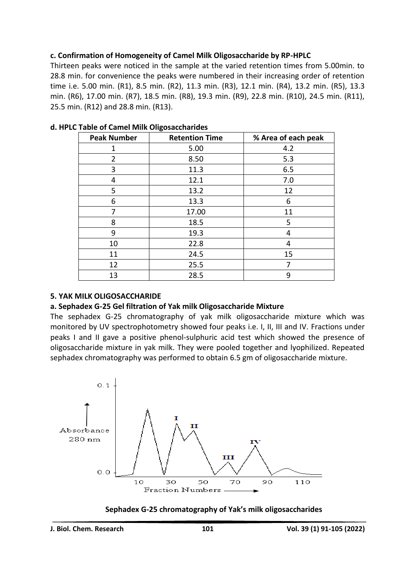### **c. Confirmation of Homogeneity of Camel Milk Oligosaccharide by RP-HPLC**

Thirteen peaks were noticed in the sample at the varied retention times from 5.00min. to 28.8 min. for convenience the peaks were numbered in their increasing order of retention time i.e. 5.00 min. (R1), 8.5 min. (R2), 11.3 min. (R3), 12.1 min. (R4), 13.2 min. (R5), 13.3 min. (R6), 17.00 min. (R7), 18.5 min. (R8), 19.3 min. (R9), 22.8 min. (R10), 24.5 min. (R11), 25.5 min. (R12) and 28.8 min. (R13).

| <b>Peak Number</b> | <b>Retention Time</b> | % Area of each peak |
|--------------------|-----------------------|---------------------|
| 1                  | 5.00                  | 4.2                 |
| $\overline{2}$     | 8.50                  | 5.3                 |
| 3                  | 11.3                  | 6.5                 |
| 4                  | 12.1                  | 7.0                 |
| 5                  | 13.2                  | 12                  |
| 6                  | 13.3                  | 6                   |
| 7                  | 17.00                 | 11                  |
| 8                  | 18.5                  | 5                   |
| 9                  | 19.3                  | 4                   |
| 10                 | 22.8                  | 4                   |
| 11                 | 24.5                  | 15                  |
| 12                 | 25.5                  | 7                   |
| 13                 | 28.5                  | 9                   |

#### **d. HPLC Table of Camel Milk Oligosaccharides**

#### **5. YAK MILK OLIGOSACCHARIDE**

#### **a. Sephadex G-25 Gel filtration of Yak milk Oligosaccharide Mixture**

The sephadex G-25 chromatography of yak milk oligosaccharide mixture which was monitored by UV spectrophotometry showed four peaks i.e. I, II, III and IV. Fractions under peaks I and II gave a positive phenol-sulphuric acid test which showed the presence of oligosaccharide mixture in yak milk. They were pooled together and lyophilized. Repeated sephadex chromatography was performed to obtain 6.5 gm of oligosaccharide mixture.



#### **Sephadex G-25 chromatography of Yak's milk oligosaccharides**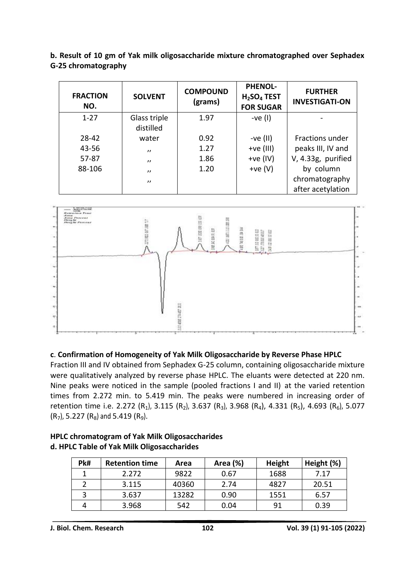| <b>FRACTION</b><br>NO. | <b>SOLVENT</b> | <b>COMPOUND</b><br>(grams) | <b>PHENOL-</b><br>$H2SO4$ TEST<br><b>FOR SUGAR</b> | <b>FURTHER</b><br><b>INVESTIGATI-ON</b> |
|------------------------|----------------|----------------------------|----------------------------------------------------|-----------------------------------------|
| $1 - 27$               | Glass triple   | 1.97                       | $-ve(1)$                                           |                                         |
|                        | distilled      |                            |                                                    |                                         |
| 28-42                  | water          | 0.92                       | -ve $(II)$                                         | <b>Fractions under</b>                  |
| 43-56                  | $^{\prime}$    | 1.27                       | $+ve (III)$                                        | peaks III, IV and                       |
| $57 - 87$              | $^{\prime}$    | 1.86                       | $+ve (IV)$                                         | V, 4.33g, purified                      |
| 88-106                 | $^{\prime}$    | 1.20                       | $+ve (V)$                                          | by column                               |
|                        | $^{\prime}$    |                            |                                                    | chromatography                          |
|                        |                |                            |                                                    | after acetylation                       |

**b. Result of 10 gm of Yak milk oligosaccharide mixture chromatographed over Sephadex G-25 chromatography**



### **c**. **Confirmation of Homogeneity of Yak Milk Oligosaccharide by Reverse Phase HPLC**

Fraction III and IV obtained from Sephadex G-25 column, containing oligosaccharide mixture were qualitatively analyzed by reverse phase HPLC. The eluants were detected at 220 nm. Nine peaks were noticed in the sample (pooled fractions I and II) at the varied retention times from 2.272 min. to 5.419 min. The peaks were numbered in increasing order of retention time i.e. 2.272 (R<sub>1</sub>), 3.115 (R<sub>2</sub>), 3.637 (R<sub>3</sub>), 3.968 (R<sub>4</sub>), 4.331 (R<sub>5</sub>), 4.693 (R<sub>6</sub>), 5.077  $(R_7)$ , 5.227  $(R_8)$  and 5.419  $(R_9)$ .

| Pk# | <b>Retention time</b> | Area  | Area (%) | Height | Height (%) |
|-----|-----------------------|-------|----------|--------|------------|
|     | 2.272                 | 9822  | 0.67     | 1688   | 7.17       |
|     | 3.115                 | 40360 | 2.74     | 4827   | 20.51      |
|     | 3.637                 | 13282 | 0.90     | 1551   | 6.57       |
|     | 3.968                 | 542   | 0.04     | 91     | 0.39       |

| <b>HPLC chromatogram of Yak Milk Oligosaccharides</b> |
|-------------------------------------------------------|
| d. HPLC Table of Yak Milk Oligosaccharides            |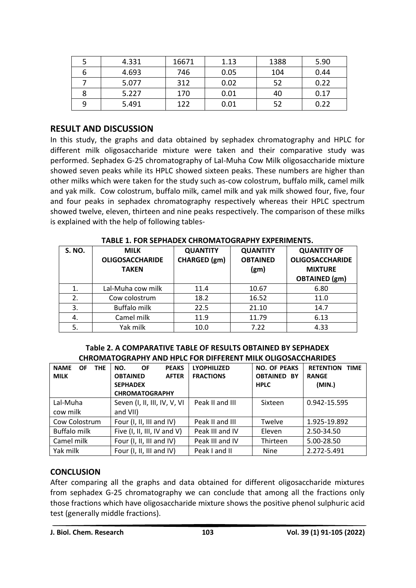| 5 | 4.331 | 16671 | 1.13 | 1388 | 5.90 |
|---|-------|-------|------|------|------|
| 6 | 4.693 | 746   | 0.05 | 104  | 0.44 |
|   | 5.077 | 312   | 0.02 | 52   | 0.22 |
|   | 5.227 | 170   | 0.01 | 40   | 0.17 |
| 9 | 5.491 | 122   | 0.01 | 52   | 0.22 |

## **RESULT AND DISCUSSION**

In this study, the graphs and data obtained by sephadex chromatography and HPLC for different milk oligosaccharide mixture were taken and their comparative study was performed. Sephadex G-25 chromatography of Lal-Muha Cow Milk oligosaccharide mixture showed seven peaks while its HPLC showed sixteen peaks. These numbers are higher than other milks which were taken for the study such as-cow colostrum, buffalo milk, camel milk and yak milk. Cow colostrum, buffalo milk, camel milk and yak milk showed four, five, four and four peaks in sephadex chromatography respectively whereas their HPLC spectrum showed twelve, eleven, thirteen and nine peaks respectively. The comparison of these milks is explained with the help of following tables-

| IADLE 1. I ON JEI HADEN CHINORIATOGINAI III ENI ENIRIERIJ. |                        |                 |                   |                        |  |  |
|------------------------------------------------------------|------------------------|-----------------|-------------------|------------------------|--|--|
| <b>S. NO.</b>                                              | <b>MILK</b>            | <b>QUANTITY</b> | <b>QUANTITY</b>   | <b>QUANTITY OF</b>     |  |  |
|                                                            | <b>OLIGOSACCHARIDE</b> | CHARGED (gm)    | <b>OBTAINED</b>   | <b>OLIGOSACCHARIDE</b> |  |  |
|                                                            | <b>TAKEN</b>           |                 | (g <sub>m</sub> ) | <b>MIXTURE</b>         |  |  |
|                                                            |                        |                 |                   | <b>OBTAINED</b> (gm)   |  |  |
| 1.                                                         | Lal-Muha cow milk      | 11.4            | 10.67             | 6.80                   |  |  |
| 2.                                                         | Cow colostrum          | 18.2            | 16.52             | 11.0                   |  |  |
| 3.                                                         | <b>Buffalo milk</b>    | 22.5            | 21.10             | 14.7                   |  |  |
| 4.                                                         | Camel milk             | 11.9            | 11.79             | 6.13                   |  |  |
| 5.                                                         | Yak milk               | 10.0            | 7.22              | 4.33                   |  |  |

**TABLE 1. FOR SEPHADEX CHROMATOGRAPHY EXPERIMENTS.**

#### **Table 2. A COMPARATIVE TABLE OF RESULTS OBTAINED BY SEPHADEX CHROMATOGRAPHY AND HPLC FOR DIFFERENT MILK OLIGOSACCHARIDES**

| <b>NAME</b><br><b>THE</b><br>OF        | NO.<br><b>OF</b><br><b>PEAKS</b> | <b>LYOPHILIZED</b> | <b>NO. OF PEAKS</b> | <b>RETENTION</b><br><b>TIME</b> |
|----------------------------------------|----------------------------------|--------------------|---------------------|---------------------------------|
| <b>MILK</b>                            | <b>AFTER</b><br><b>OBTAINED</b>  | <b>FRACTIONS</b>   | <b>OBTAINED BY</b>  | <b>RANGE</b>                    |
|                                        | <b>SEPHADEX</b>                  |                    | <b>HPLC</b>         | (MIN.)                          |
|                                        | <b>CHROMATOGRAPHY</b>            |                    |                     |                                 |
| Lal-Muha                               | Seven (I, II, III, IV, V, VI     | Peak II and III    | Sixteen             | 0.942-15.595                    |
| cow milk                               | and VII)                         |                    |                     |                                 |
| Cow Colostrum                          | Four (I, II, III and IV)         | Peak II and III    | Twelve              | 1.925-19.892                    |
| <b>Buffalo milk</b>                    | Five (I, II, III, IV and V)      | Peak III and IV    | Eleven              | 2.50-34.50                      |
| Camel milk<br>Four (I, II, III and IV) |                                  | Peak III and IV    | Thirteen            | 5.00-28.50                      |
| Yak milk                               | Four (I, II, III and IV)         | Peak I and II      | <b>Nine</b>         | 2.272-5.491                     |

### **CONCLUSION**

After comparing all the graphs and data obtained for different oligosaccharide mixtures from sephadex G-25 chromatography we can conclude that among all the fractions only those fractions which have oligosaccharide mixture shows the positive phenol sulphuric acid test (generally middle fractions).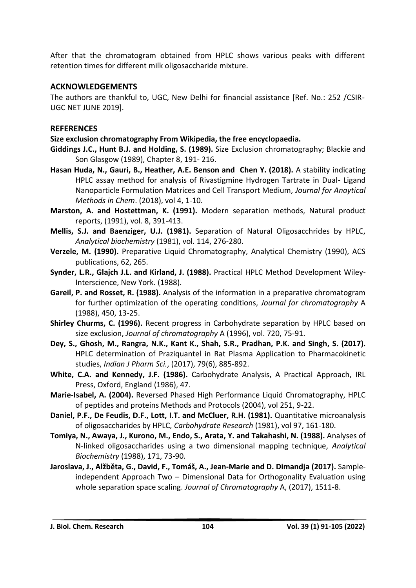After that the chromatogram obtained from HPLC shows various peaks with different retention times for different milk oligosaccharide mixture.

### **ACKNOWLEDGEMENTS**

The authors are thankful to, UGC, New Delhi for financial assistance [Ref. No.: 252 /CSIR-UGC NET JUNE 2019].

### **REFERENCES**

**Size exclusion chromatography From Wikipedia, the free encyclopaedia.**

- **Giddings J.C., Hunt B.J. and Holding, S. (1989).** Size Exclusion chromatography; Blackie and Son Glasgow (1989), Chapter 8, 191- 216.
- **Hasan Huda, N., Gauri, B., Heather, A.E. Benson and Chen Y. (2018).** A stability indicating HPLC assay method for analysis of Rivastigmine Hydrogen Tartrate in Dual- Ligand Nanoparticle Formulation Matrices and Cell Transport Medium, *Journal for Anaytical Methods in Chem*. (2018), vol 4, 1-10.
- **Marston, A. and Hostettman, K. (1991).** Modern separation methods, Natural product reports, (1991), vol. 8, 391-413.
- **Mellis, S.J. and Baenziger, U.J. (1981).** Separation of Natural Oligosacchrides by HPLC, *Analytical biochemistry* (1981), vol. 114, 276-280.
- **Verzele, M. (1990).** Preparative Liquid Chromatography, Analytical Chemistry (1990), ACS publications, 62, 265.
- **Synder, L.R., Glajch J.L. and Kirland, J. (1988).** Practical HPLC Method Development Wiley-Interscience, New York. (1988).
- **Gareil, P. and Rosset, R. (1988).** Analysis of the information in a preparative chromatogram for further optimization of the operating conditions, *Journal for chromatography* A (1988), 450, 13-25.
- **Shirley Churms, C. (1996).** Recent progress in Carbohydrate separation by HPLC based on size exclusion, *Journal of chromatography* A (1996), vol. 720, 75-91.
- **Dey, S., Ghosh, M., Rangra, N.K., Kant K., Shah, S.R., Pradhan, P.K. and Singh, S. (2017).** HPLC determination of Praziquantel in Rat Plasma Application to Pharmacokinetic studies, *Indian J Pharm Sci.*, (2017), 79(6), 885-892.
- **White, C.A. and Kennedy, J.F. (1986).** Carbohydrate Analysis, A Practical Approach, IRL Press, Oxford, England (1986), 47.
- **Marie-Isabel, A. (2004).** Reversed Phased High Performance Liquid Chromatography, HPLC of peptides and proteins Methods and Protocols (2004), vol 251, 9-22.
- **Daniel, P.F., De Feudis, D.F., Lott, I.T. and McCluer, R.H. (1981).** Quantitative microanalysis of oligosaccharides by HPLC, *Carbohydrate Research* (1981), vol 97, 161-180.
- **Tomiya, N., Awaya, J., Kurono, M., Endo, S., Arata, Y. and Takahashi, N. (1988).** Analyses of N-linked oligosaccharides using a two dimensional mapping technique, *Analytical Biochemistry* (1988), 171, 73-90.
- **Jaroslava, J., Alžběta, G., David, F., Tomáš, A., Jean-Marie and D. Dimandja (2017).** Sampleindependent Approach Two – Dimensional Data for Orthogonality Evaluation using whole separation space scaling. *Journal of Chromatography* A, (2017), 1511-8.